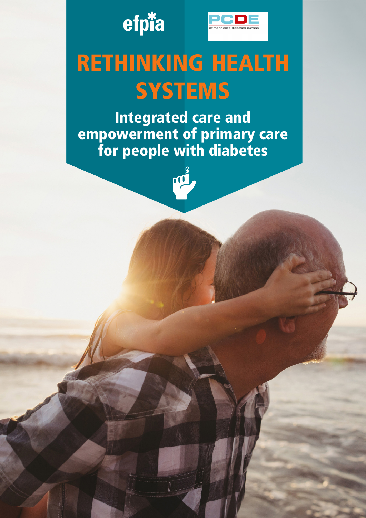



# RETHINKING HEALTH **SYSTEMS**

Integrated care and empowerment of primary care for people with diabetes

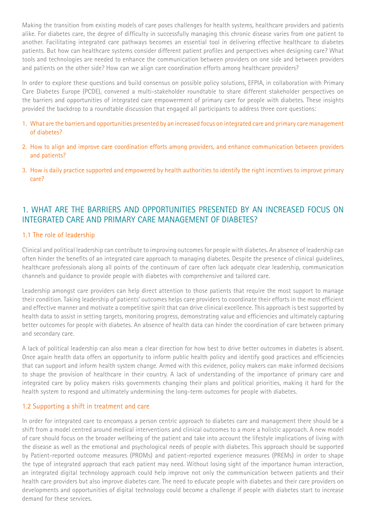Making the transition from existing models of care poses challenges for health systems, healthcare providers and patients alike. For diabetes care, the degree of difficulty in successfully managing this chronic disease varies from one patient to another. Facilitating integrated care pathways becomes an essential tool in delivering effective healthcare to diabetes patients. But how can healthcare systems consider different patient profiles and perspectives when designing care? What tools and technologies are needed to enhance the communication between providers on one side and between providers and patients on the other side? How can we align care coordination efforts among healthcare providers?

In order to explore these questions and build consensus on possible policy solutions, EFPIA, in collaboration with Primary Care Diabetes Europe (PCDE), convened a multi-stakeholder roundtable to share different stakeholder perspectives on the barriers and opportunities of integrated care empowerment of primary care for people with diabetes. These insights provided the backdrop to a roundtable discussion that engaged all participants to address three core questions:

- 1. What are the barriers and opportunities presented by an increased focus on integrated care and primary care management of diabetes?
- 2. How to align and improve care coordination efforts among providers, and enhance communication between providers and patients?
- 3. How is daily practice supported and empowered by health authorities to identify the right incentives to improve primary care?

## 1. WHAT ARE THE BARRIERS AND OPPORTUNITIES PRESENTED BY AN INCREASED FOCUS ON INTEGRATED CARE AND PRIMARY CARE MANAGEMENT OF DIABETES?

## 1.1 The role of leadership

Clinical and political leadership can contribute to improving outcomes for people with diabetes. An absence of leadership can often hinder the benefits of an integrated care approach to managing diabetes. Despite the presence of clinical guidelines, healthcare professionals along all points of the continuum of care often lack adequate clear leadership, communication channels and guidance to provide people with diabetes with comprehensive and tailored care.

Leadership amongst care providers can help direct attention to those patients that require the most support to manage their condition. Taking leadership of patients' outcomes helps care providers to coordinate their efforts in the most efficient and effective manner and motivate a competitive spirit that can drive clinical excellence. This approach is best supported by health data to assist in setting targets, monitoring progress, demonstrating value and efficiencies and ultimately capturing better outcomes for people with diabetes. An absence of health data can hinder the coordination of care between primary and secondary care.

A lack of political leadership can also mean a clear direction for how best to drive better outcomes in diabetes is absent. Once again health data offers an opportunity to inform public health policy and identify good practices and efficiencies that can support and inform health system change. Armed with this evidence, policy makers can make informed decisions to shape the provision of healthcare in their country. A lack of understanding of the importance of primary care and integrated care by policy makers risks governments changing their plans and political priorities, making it hard for the health system to respond and ultimately undermining the long-term outcomes for people with diabetes.

## 1.2 Supporting a shift in treatment and care

In order for integrated care to encompass a person centric approach to diabetes care and management there should be a shift from a model centred around medical interventions and clinical outcomes to a more a holistic approach. A new model of care should focus on the broader wellbeing of the patient and take into account the lifestyle implications of living with the disease as well as the emotional and psychological needs of people with diabetes. This approach should be supported by Patient-reported outcome measures (PROMs) and patient-reported experience measures (PREMs) in order to shape the type of integrated approach that each patient may need. Without losing sight of the importance human interaction, an integrated digital technology approach could help improve not only the communication between patients and their health care providers but also improve diabetes care. The need to educate people with diabetes and their care providers on developments and opportunities of digital technology could become a challenge if people with diabetes start to increase demand for these services.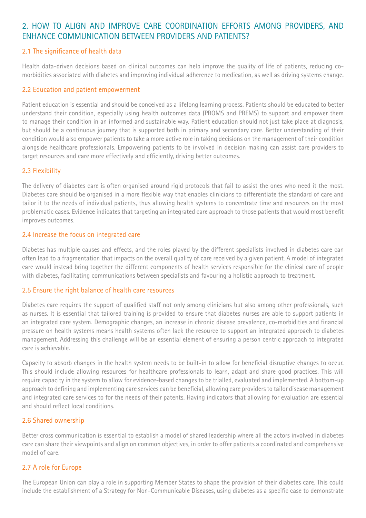## 2. HOW TO ALIGN AND IMPROVE CARE COORDINATION EFFORTS AMONG PROVIDERS, AND ENHANCE COMMUNICATION BETWEEN PROVIDERS AND PATIENTS?

## 2.1 The significance of health data

Health data-driven decisions based on clinical outcomes can help improve the quality of life of patients, reducing comorbidities associated with diabetes and improving individual adherence to medication, as well as driving systems change.

## 2.2 Education and patient empowerment

Patient education is essential and should be conceived as a lifelong learning process. Patients should be educated to better understand their condition, especially using health outcomes data (PROMS and PREMS) to support and empower them to manage their condition in an informed and sustainable way. Patient education should not just take place at diagnosis, but should be a continuous journey that is supported both in primary and secondary care. Better understanding of their condition would also empower patients to take a more active role in taking decisions on the management of their condition alongside healthcare professionals. Empowering patients to be involved in decision making can assist care providers to target resources and care more effectively and efficiently, driving better outcomes.

## 2.3 Flexibility

The delivery of diabetes care is often organised around rigid protocols that fail to assist the ones who need it the most. Diabetes care should be organised in a more flexible way that enables clinicians to differentiate the standard of care and tailor it to the needs of individual patients, thus allowing health systems to concentrate time and resources on the most problematic cases. Evidence indicates that targeting an integrated care approach to those patients that would most benefit improves outcomes.

## 2.4 Increase the focus on integrated care

Diabetes has multiple causes and effects, and the roles played by the different specialists involved in diabetes care can often lead to a fragmentation that impacts on the overall quality of care received by a given patient. A model of integrated care would instead bring together the different components of health services responsible for the clinical care of people with diabetes, facilitating communications between specialists and favouring a holistic approach to treatment.

## 2.5 Ensure the right balance of health care resources

Diabetes care requires the support of qualified staff not only among clinicians but also among other professionals, such as nurses. It is essential that tailored training is provided to ensure that diabetes nurses are able to support patients in an integrated care system. Demographic changes, an increase in chronic disease prevalence, co-morbidities and financial pressure on health systems means health systems often lack the resource to support an integrated approach to diabetes management. Addressing this challenge will be an essential element of ensuring a person centric approach to integrated care is achievable.

Capacity to absorb changes in the health system needs to be built-in to allow for beneficial disruptive changes to occur. This should include allowing resources for healthcare professionals to learn, adapt and share good practices. This will require capacity in the system to allow for evidence-based changes to be trialled, evaluated and implemented. A bottom-up approach to defining and implementing care services can be beneficial, allowing care providers to tailor disease management and integrated care services to for the needs of their patents. Having indicators that allowing for evaluation are essential and should reflect local conditions.

## 2.6 Shared ownership

Better cross communication is essential to establish a model of shared leadership where all the actors involved in diabetes care can share their viewpoints and align on common objectives, in order to offer patients a coordinated and comprehensive model of care.

## 2.7 A role for Europe

The European Union can play a role in supporting Member States to shape the provision of their diabetes care. This could include the establishment of a Strategy for Non-Communicable Diseases, using diabetes as a specific case to demonstrate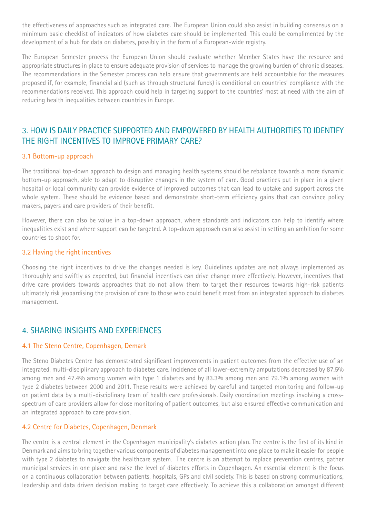the effectiveness of approaches such as integrated care. The European Union could also assist in building consensus on a minimum basic checklist of indicators of how diabetes care should be implemented. This could be complimented by the development of a hub for data on diabetes, possibly in the form of a European-wide registry.

The European Semester process the European Union should evaluate whether Member States have the resource and appropriate structures in place to ensure adequate provision of services to manage the growing burden of chronic diseases. The recommendations in the Semester process can help ensure that governments are held accountable for the measures proposed if, for example, financial aid (such as through structural funds) is conditional on countries' compliance with the recommendations received. This approach could help in targeting support to the countries' most at need with the aim of reducing health inequalities between countries in Europe.

## 3. HOW IS DAILY PRACTICE SUPPORTED AND EMPOWERED BY HEALTH AUTHORITIES TO IDENTIFY THE RIGHT INCENTIVES TO IMPROVE PRIMARY CARE?

## 3.1 Bottom-up approach

The traditional top-down approach to design and managing health systems should be rebalance towards a more dynamic bottom-up approach, able to adapt to disruptive changes in the system of care. Good practices put in place in a given hospital or local community can provide evidence of improved outcomes that can lead to uptake and support across the whole system. These should be evidence based and demonstrate short-term efficiency gains that can convince policy makers, payers and care providers of their benefit.

However, there can also be value in a top-down approach, where standards and indicators can help to identify where inequalities exist and where support can be targeted. A top-down approach can also assist in setting an ambition for some countries to shoot for.

#### 3.2 Having the right incentives

Choosing the right incentives to drive the changes needed is key. Guidelines updates are not always implemented as thoroughly and swiftly as expected, but financial incentives can drive change more effectively. However, incentives that drive care providers towards approaches that do not allow them to target their resources towards high-risk patients ultimately risk jeopardising the provision of care to those who could benefit most from an integrated approach to diabetes management.

## 4. SHARING INSIGHTS AND EXPERIENCES

#### 4.1 The Steno Centre, Copenhagen, Demark

The Steno Diabetes Centre has demonstrated significant improvements in patient outcomes from the effective use of an integrated, multi-disciplinary approach to diabetes care. Incidence of all lower-extremity amputations decreased by 87.5% among men and 47.4% among women with type 1 diabetes and by 83.3% among men and 79.1% among women with type 2 diabetes between 2000 and 2011. These results were achieved by careful and targeted monitoring and follow-up on patient data by a multi-disciplinary team of health care professionals. Daily coordination meetings involving a crossspectrum of care providers allow for close monitoring of patient outcomes, but also ensured effective communication and an integrated approach to care provision.

## 4.2 Centre for Diabetes, Copenhagen, Denmark

The centre is a central element in the Copenhagen municipality's diabetes action plan. The centre is the first of its kind in Denmark and aims to bring together various components of diabetes management into one place to make it easier for people with type 2 diabetes to navigate the healthcare system. The centre is an attempt to replace prevention centres, gather municipal services in one place and raise the level of diabetes efforts in Copenhagen. An essential element is the focus on a continuous collaboration between patients, hospitals, GPs and civil society. This is based on strong communications, leadership and data driven decision making to target care effectively. To achieve this a collaboration amongst different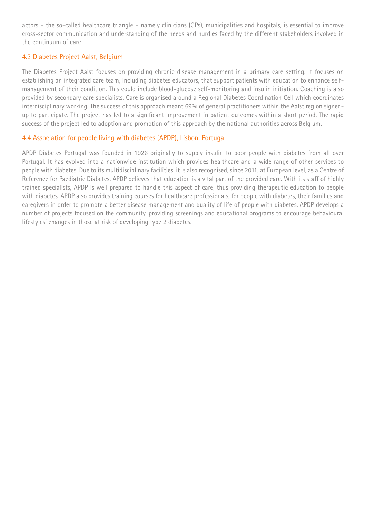actors – the so-called healthcare triangle – namely clinicians (GPs), municipalities and hospitals, is essential to improve cross-sector communication and understanding of the needs and hurdles faced by the different stakeholders involved in the continuum of care.

## 4.3 Diabetes Project Aalst, Belgium

The Diabetes Project Aalst focuses on providing chronic disease management in a primary care setting. It focuses on establishing an integrated care team, including diabetes educators, that support patients with education to enhance selfmanagement of their condition. This could include blood-glucose self-monitoring and insulin initiation. Coaching is also provided by secondary care specialists. Care is organised around a Regional Diabetes Coordination Cell which coordinates interdisciplinary working. The success of this approach meant 69% of general practitioners within the Aalst region signedup to participate. The project has led to a significant improvement in patient outcomes within a short period. The rapid success of the project led to adoption and promotion of this approach by the national authorities across Belgium.

## 4.4 Association for people living with diabetes (APDP), Lisbon, Portugal

APDP Diabetes Portugal was founded in 1926 originally to supply insulin to poor people with diabetes from all over Portugal. It has evolved into a nationwide institution which provides healthcare and a wide range of other services to people with diabetes. Due to its multidisciplinary facilities, it is also recognised, since 2011, at European level, as a Centre of Reference for Paediatric Diabetes. APDP believes that education is a vital part of the provided care. With its staff of highly trained specialists, APDP is well prepared to handle this aspect of care, thus providing therapeutic education to people with diabetes. APDP also provides training courses for healthcare professionals, for people with diabetes, their families and caregivers in order to promote a better disease management and quality of life of people with diabetes. APDP develops a number of projects focused on the community, providing screenings and educational programs to encourage behavioural lifestyles' changes in those at risk of developing type 2 diabetes.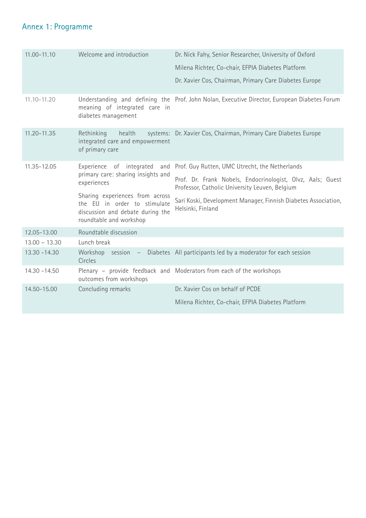# Annex 1: Programme

| 11.00-11.10     | Welcome and introduction                                                                                                       | Dr. Nick Fahy, Senior Researcher, University of Oxford                                                       |  |
|-----------------|--------------------------------------------------------------------------------------------------------------------------------|--------------------------------------------------------------------------------------------------------------|--|
|                 |                                                                                                                                | Milena Richter, Co-chair, EFPIA Diabetes Platform                                                            |  |
|                 |                                                                                                                                | Dr. Xavier Cos, Chairman, Primary Care Diabetes Europe                                                       |  |
| $11.10 - 11.20$ | meaning of integrated care in<br>diabetes management                                                                           | Understanding and defining the Prof. John Nolan, Executive Director, European Diabetes Forum                 |  |
| 11.20-11.35     | health<br>Rethinking<br>integrated care and empowerment<br>of primary care                                                     | systems: Dr. Xavier Cos, Chairman, Primary Care Diabetes Europe                                              |  |
| 11.35-12.05     | Experience of integrated<br>and<br>primary care: sharing insights and<br>experiences                                           | Prof. Guy Rutten, UMC Utrecht, the Netherlands                                                               |  |
|                 |                                                                                                                                | Prof. Dr. Frank Nobels, Endocrinologist, Olvz, Aals; Guest<br>Professor, Catholic University Leuven, Belgium |  |
|                 | Sharing experiences from across<br>the EU in order to stimulate<br>discussion and debate during the<br>roundtable and workshop | Sari Koski, Development Manager, Finnish Diabetes Association,<br>Helsinki, Finland                          |  |
| 12.05-13.00     | Roundtable discussion                                                                                                          |                                                                                                              |  |
| $13.00 - 13.30$ | Lunch break                                                                                                                    |                                                                                                              |  |
| $13.30 - 14.30$ | Workshop session -<br>Circles                                                                                                  | Diabetes All participants led by a moderator for each session                                                |  |
| $14.30 - 14.50$ | outcomes from workshops                                                                                                        | Plenary - provide feedback and Moderators from each of the workshops                                         |  |
| 14.50-15.00     | Concluding remarks                                                                                                             | Dr. Xavier Cos on behalf of PCDE                                                                             |  |
|                 |                                                                                                                                | Milena Richter, Co-chair, EFPIA Diabetes Platform                                                            |  |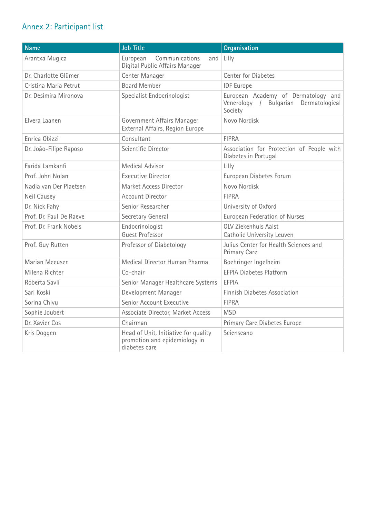# Annex 2: Participant list

| <b>Name</b>             | <b>Job Title</b>                                                                       | Organisation                                                                               |
|-------------------------|----------------------------------------------------------------------------------------|--------------------------------------------------------------------------------------------|
| Arantxa Mugica          | European<br>Communications<br>and<br>Digital Public Affairs Manager                    | Lilly                                                                                      |
| Dr. Charlotte Glümer    | Center Manager                                                                         | <b>Center for Diabetes</b>                                                                 |
| Cristina Maria Petrut   | <b>Board Member</b>                                                                    | <b>IDF</b> Europe                                                                          |
| Dr. Desimira Mironova   | Specialist Endocrinologist                                                             | European Academy of Dermatology and<br>Venerology /<br>Bulgarian Dermatological<br>Society |
| Elvera Laanen           | Government Affairs Manager<br>External Affairs, Region Europe                          | Novo Nordisk                                                                               |
| Enrica Obizzi           | Consultant                                                                             | <b>FIPRA</b>                                                                               |
| Dr. João-Filipe Raposo  | Scientific Director                                                                    | Association for Protection of People with<br>Diabetes in Portugal                          |
| Farida Lamkanfi         | Medical Advisor                                                                        | Lilly                                                                                      |
| Prof. John Nolan        | <b>Executive Director</b>                                                              | European Diabetes Forum                                                                    |
| Nadia van Der Plaetsen  | Market Access Director                                                                 | Novo Nordisk                                                                               |
| Neil Causey             | <b>Account Director</b>                                                                | <b>FIPRA</b>                                                                               |
| Dr. Nick Fahy           | Senior Researcher                                                                      | University of Oxford                                                                       |
| Prof. Dr. Paul De Raeve | Secretary General                                                                      | European Federation of Nurses                                                              |
| Prof. Dr. Frank Nobels  | Endocrinologist<br><b>Guest Professor</b>                                              | OLV Ziekenhuis Aalst<br>Catholic University Leuven                                         |
| Prof. Guy Rutten        | Professor of Diabetology                                                               | Julius Center for Health Sciences and<br>Primary Care                                      |
| Marian Meeusen          | Medical Director Human Pharma                                                          | Boehringer Ingelheim                                                                       |
| Milena Richter          | Co-chair                                                                               | <b>EFPIA Diabetes Platform</b>                                                             |
| Roberta Savli           | Senior Manager Healthcare Systems                                                      | <b>EFPIA</b>                                                                               |
| Sari Koski              | Development Manager                                                                    | Finnish Diabetes Association                                                               |
| Sorina Chivu            | Senior Account Executive                                                               | <b>FIPRA</b>                                                                               |
| Sophie Joubert          | Associate Director, Market Access                                                      | <b>MSD</b>                                                                                 |
| Dr. Xavier Cos          | Chairman                                                                               | Primary Care Diabetes Europe                                                               |
| Kris Doggen             | Head of Unit, Initiative for quality<br>promotion and epidemiology in<br>diabetes care | Scienscano                                                                                 |